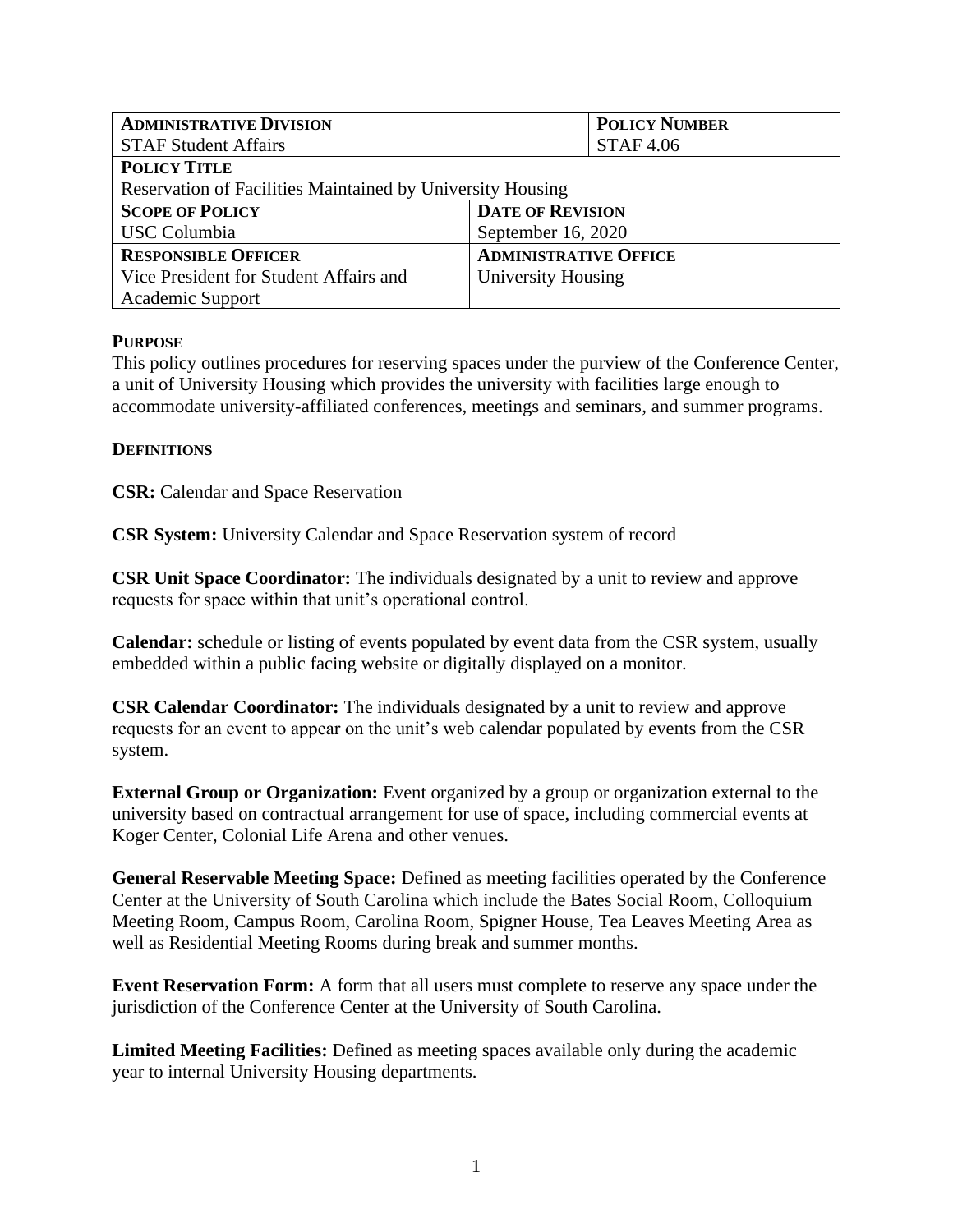| <b>ADMINISTRATIVE DIVISION</b>                             |                              | <b>POLICY NUMBER</b> |  |
|------------------------------------------------------------|------------------------------|----------------------|--|
| <b>STAF Student Affairs</b>                                |                              | <b>STAF4.06</b>      |  |
| <b>POLICY TITLE</b>                                        |                              |                      |  |
| Reservation of Facilities Maintained by University Housing |                              |                      |  |
| <b>SCOPE OF POLICY</b>                                     | <b>DATE OF REVISION</b>      |                      |  |
| <b>USC</b> Columbia                                        | September 16, 2020           |                      |  |
| <b>RESPONSIBLE OFFICER</b>                                 | <b>ADMINISTRATIVE OFFICE</b> |                      |  |
| Vice President for Student Affairs and                     | University Housing           |                      |  |
| <b>Academic Support</b>                                    |                              |                      |  |

### **PURPOSE**

This policy outlines procedures for reserving spaces under the purview of the Conference Center, a unit of University Housing which provides the university with facilities large enough to accommodate university-affiliated conferences, meetings and seminars, and summer programs.

### **DEFINITIONS**

**CSR:** Calendar and Space Reservation

**CSR System:** University Calendar and Space Reservation system of record

**CSR Unit Space Coordinator:** The individuals designated by a unit to review and approve requests for space within that unit's operational control.

**Calendar:** schedule or listing of events populated by event data from the CSR system, usually embedded within a public facing website or digitally displayed on a monitor.

**CSR Calendar Coordinator:** The individuals designated by a unit to review and approve requests for an event to appear on the unit's web calendar populated by events from the CSR system.

**External Group or Organization:** Event organized by a group or organization external to the university based on contractual arrangement for use of space, including commercial events at Koger Center, Colonial Life Arena and other venues.

**General Reservable Meeting Space:** Defined as meeting facilities operated by the Conference Center at the University of South Carolina which include the Bates Social Room, Colloquium Meeting Room, Campus Room, Carolina Room, Spigner House, Tea Leaves Meeting Area as well as Residential Meeting Rooms during break and summer months.

**Event Reservation Form:** A form that all users must complete to reserve any space under the jurisdiction of the Conference Center at the University of South Carolina.

**Limited Meeting Facilities:** Defined as meeting spaces available only during the academic year to internal University Housing departments.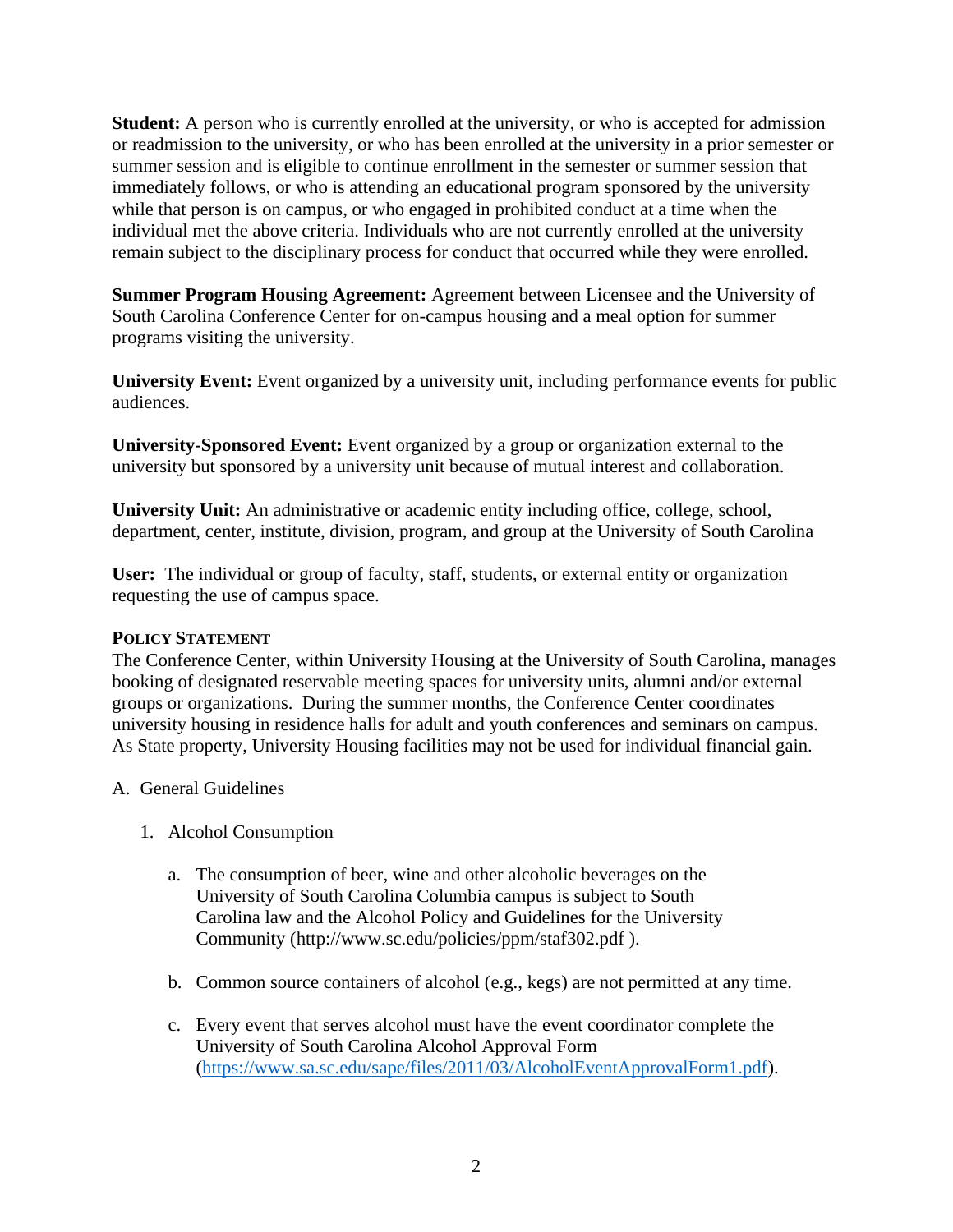**Student:** A person who is currently enrolled at the university, or who is accepted for admission or readmission to the university, or who has been enrolled at the university in a prior semester or summer session and is eligible to continue enrollment in the semester or summer session that immediately follows, or who is attending an educational program sponsored by the university while that person is on campus, or who engaged in prohibited conduct at a time when the individual met the above criteria. Individuals who are not currently enrolled at the university remain subject to the disciplinary process for conduct that occurred while they were enrolled.

**Summer Program Housing Agreement:** Agreement between Licensee and the University of South Carolina Conference Center for on-campus housing and a meal option for summer programs visiting the university.

**University Event:** Event organized by a university unit, including performance events for public audiences.

**University-Sponsored Event:** Event organized by a group or organization external to the university but sponsored by a university unit because of mutual interest and collaboration.

**University Unit:** An administrative or academic entity including office, college, school, department, center, institute, division, program, and group at the University of South Carolina

**User:** The individual or group of faculty, staff, students, or external entity or organization requesting the use of campus space.

# **POLICY STATEMENT**

The Conference Center, within University Housing at the University of South Carolina, manages booking of designated reservable meeting spaces for university units, alumni and/or external groups or organizations. During the summer months, the Conference Center coordinates university housing in residence halls for adult and youth conferences and seminars on campus. As State property, University Housing facilities may not be used for individual financial gain.

- A. General Guidelines
	- 1. Alcohol Consumption
		- a. The consumption of beer, wine and other alcoholic beverages on the University of South Carolina Columbia campus is subject to South Carolina law and the Alcohol Policy and Guidelines for the University Community (http://www.sc.edu/policies/ppm/staf302.pdf ).
		- b. Common source containers of alcohol (e.g., kegs) are not permitted at any time.
		- c. Every event that serves alcohol must have the event coordinator complete the University of South Carolina Alcohol Approval Form [\(https://www.sa.sc.edu/sape/files/2011/03/AlcoholEventApprovalForm1.pdf\)](https://www.sa.sc.edu/sape/files/2011/03/AlcoholEventApprovalForm1.pdf).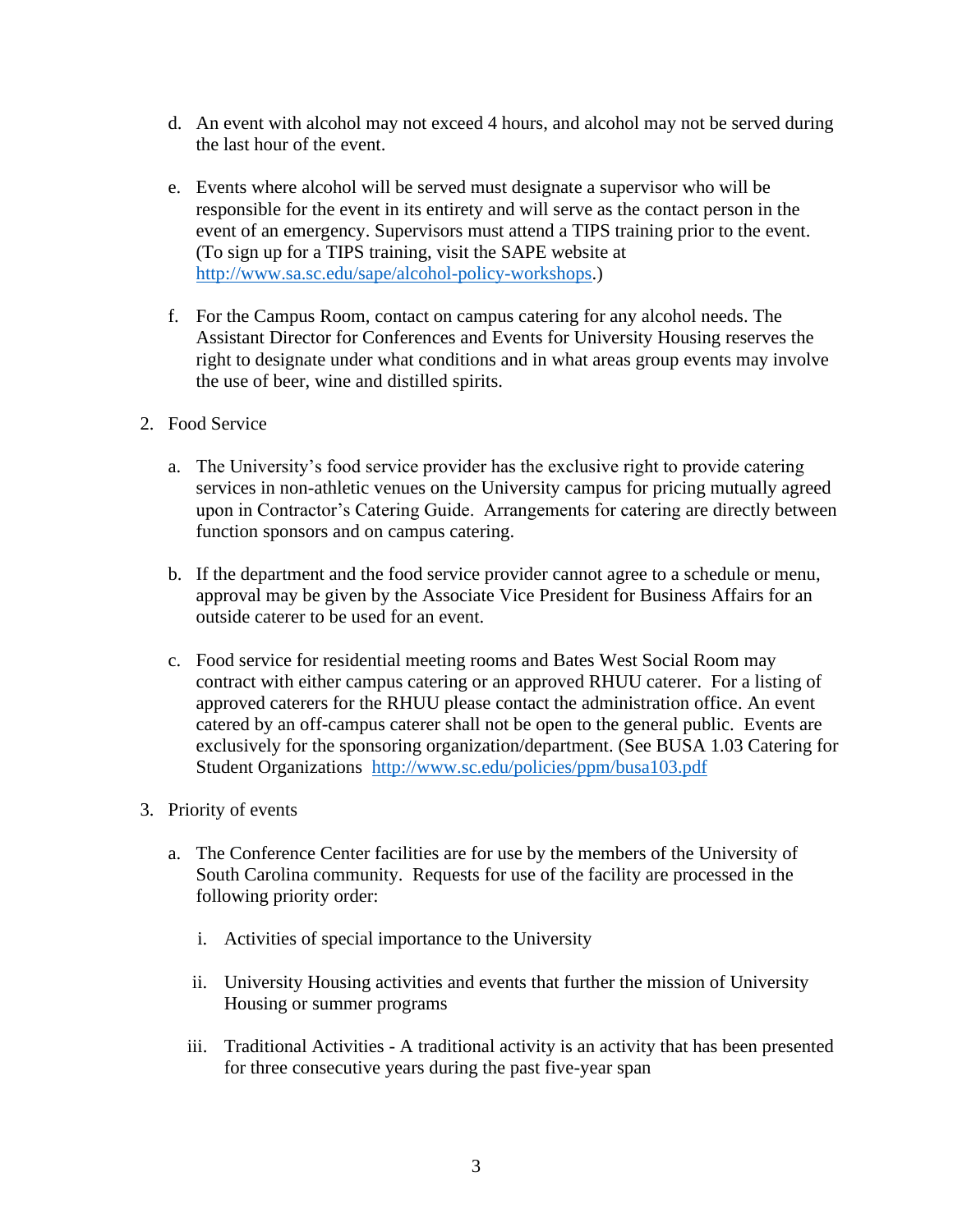- d. An event with alcohol may not exceed 4 hours, and alcohol may not be served during the last hour of the event.
- e. Events where alcohol will be served must designate a supervisor who will be responsible for the event in its entirety and will serve as the contact person in the event of an emergency. Supervisors must attend a TIPS training prior to the event. (To sign up for a TIPS training, visit the SAPE website at [http://www.sa.sc.edu/sape/alcohol-policy-workshops.](http://www.sa.sc.edu/sape/alcohol-policy-workshops))
- f. For the Campus Room, contact on campus catering for any alcohol needs. The Assistant Director for Conferences and Events for University Housing reserves the right to designate under what conditions and in what areas group events may involve the use of beer, wine and distilled spirits.
- 2. Food Service
	- a. The University's food service provider has the exclusive right to provide catering services in non-athletic venues on the University campus for pricing mutually agreed upon in Contractor's Catering Guide. Arrangements for catering are directly between function sponsors and on campus catering.
	- b. If the department and the food service provider cannot agree to a schedule or menu, approval may be given by the Associate Vice President for Business Affairs for an outside caterer to be used for an event.
	- c. Food service for residential meeting rooms and Bates West Social Room may contract with either campus catering or an approved RHUU caterer. For a listing of approved caterers for the RHUU please contact the administration office. An event catered by an off-campus caterer shall not be open to the general public. Events are exclusively for the sponsoring organization/department. (See BUSA 1.03 Catering for Student Organizations <http://www.sc.edu/policies/ppm/busa103.pdf>
- 3. Priority of events
	- a. The Conference Center facilities are for use by the members of the University of South Carolina community. Requests for use of the facility are processed in the following priority order:
		- i. Activities of special importance to the University
		- ii. University Housing activities and events that further the mission of University Housing or summer programs
		- iii. Traditional Activities A traditional activity is an activity that has been presented for three consecutive years during the past five-year span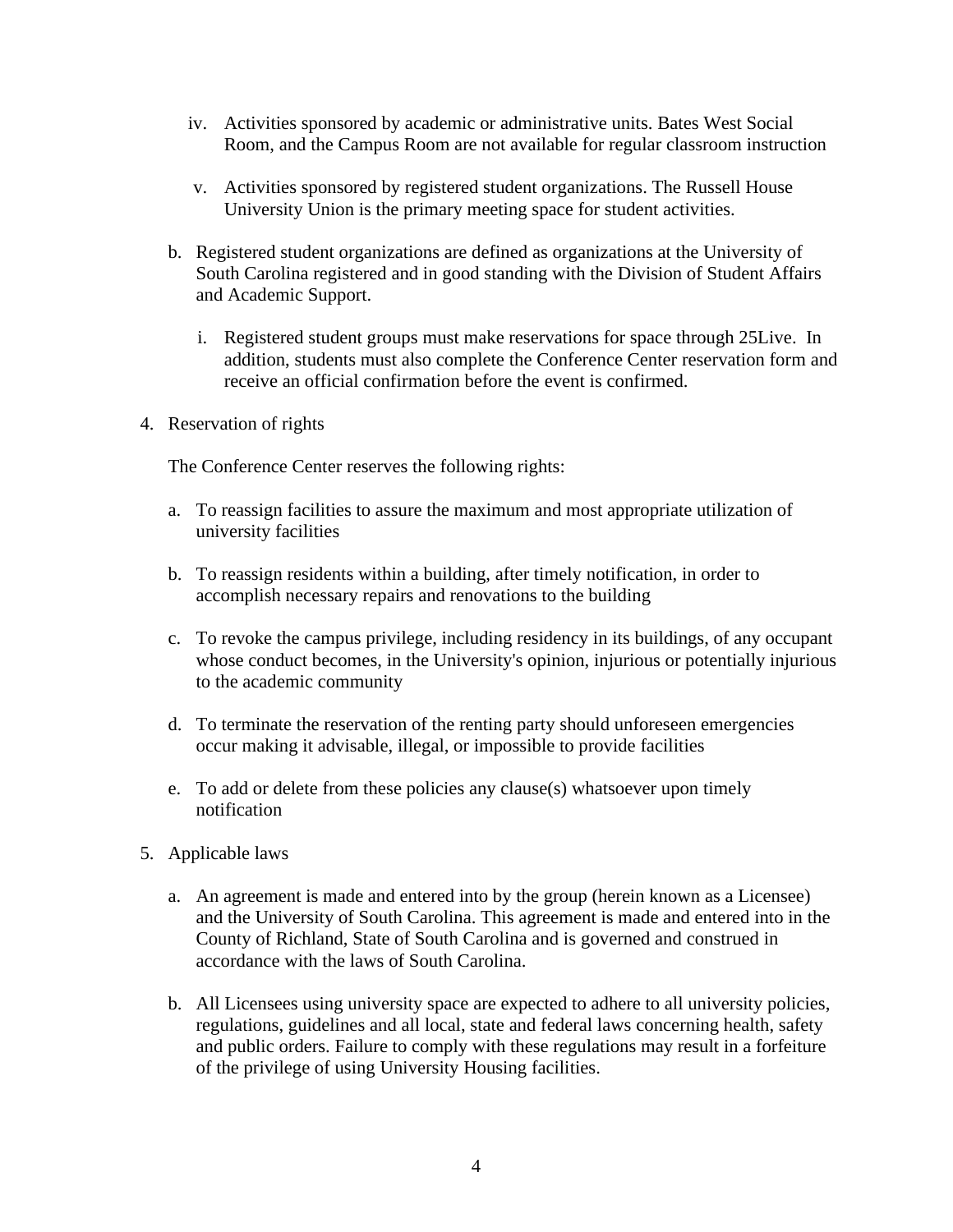- iv. Activities sponsored by academic or administrative units. Bates West Social Room, and the Campus Room are not available for regular classroom instruction
- v. Activities sponsored by registered student organizations. The Russell House University Union is the primary meeting space for student activities.
- b. Registered student organizations are defined as organizations at the University of South Carolina registered and in good standing with the Division of Student Affairs and Academic Support.
	- i. Registered student groups must make reservations for space through 25Live. In addition, students must also complete the Conference Center reservation form and receive an official confirmation before the event is confirmed.
- 4. Reservation of rights

The Conference Center reserves the following rights:

- a. To reassign facilities to assure the maximum and most appropriate utilization of university facilities
- b. To reassign residents within a building, after timely notification, in order to accomplish necessary repairs and renovations to the building
- c. To revoke the campus privilege, including residency in its buildings, of any occupant whose conduct becomes, in the University's opinion, injurious or potentially injurious to the academic community
- d. To terminate the reservation of the renting party should unforeseen emergencies occur making it advisable, illegal, or impossible to provide facilities
- e. To add or delete from these policies any clause(s) whatsoever upon timely notification
- 5. Applicable laws
	- a. An agreement is made and entered into by the group (herein known as a Licensee) and the University of South Carolina. This agreement is made and entered into in the County of Richland, State of South Carolina and is governed and construed in accordance with the laws of South Carolina.
	- b. All Licensees using university space are expected to adhere to all university policies, regulations, guidelines and all local, state and federal laws concerning health, safety and public orders. Failure to comply with these regulations may result in a forfeiture of the privilege of using University Housing facilities.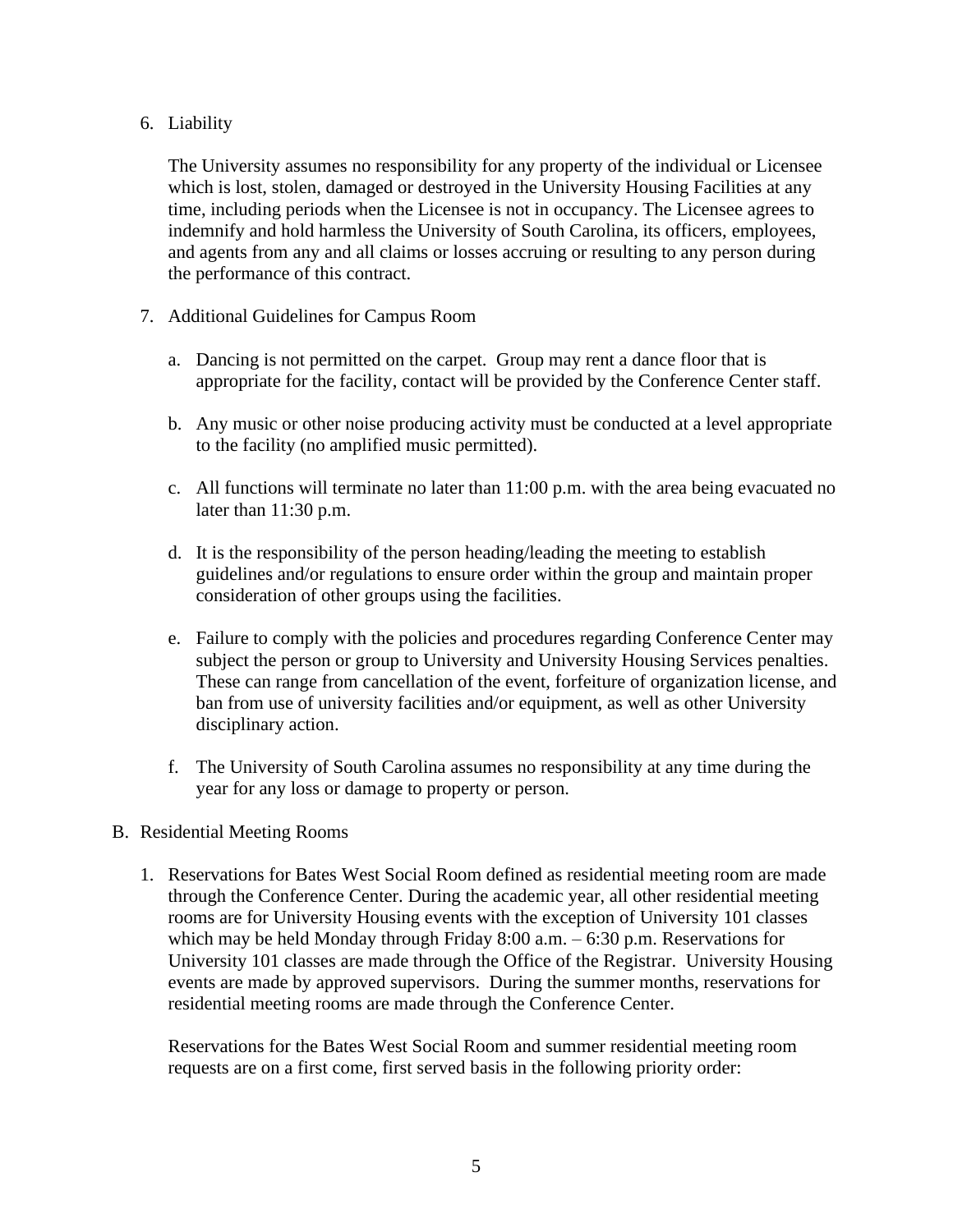# 6. Liability

The University assumes no responsibility for any property of the individual or Licensee which is lost, stolen, damaged or destroyed in the University Housing Facilities at any time, including periods when the Licensee is not in occupancy. The Licensee agrees to indemnify and hold harmless the University of South Carolina, its officers, employees, and agents from any and all claims or losses accruing or resulting to any person during the performance of this contract.

- 7. Additional Guidelines for Campus Room
	- a. Dancing is not permitted on the carpet. Group may rent a dance floor that is appropriate for the facility, contact will be provided by the Conference Center staff.
	- b. Any music or other noise producing activity must be conducted at a level appropriate to the facility (no amplified music permitted).
	- c. All functions will terminate no later than 11:00 p.m. with the area being evacuated no later than 11:30 p.m.
	- d. It is the responsibility of the person heading/leading the meeting to establish guidelines and/or regulations to ensure order within the group and maintain proper consideration of other groups using the facilities.
	- e. Failure to comply with the policies and procedures regarding Conference Center may subject the person or group to University and University Housing Services penalties. These can range from cancellation of the event, forfeiture of organization license, and ban from use of university facilities and/or equipment, as well as other University disciplinary action.
	- f. The University of South Carolina assumes no responsibility at any time during the year for any loss or damage to property or person.

# B. Residential Meeting Rooms

1. Reservations for Bates West Social Room defined as residential meeting room are made through the Conference Center. During the academic year, all other residential meeting rooms are for University Housing events with the exception of University 101 classes which may be held Monday through Friday 8:00 a.m. – 6:30 p.m. Reservations for University 101 classes are made through the Office of the Registrar. University Housing events are made by approved supervisors. During the summer months, reservations for residential meeting rooms are made through the Conference Center.

Reservations for the Bates West Social Room and summer residential meeting room requests are on a first come, first served basis in the following priority order: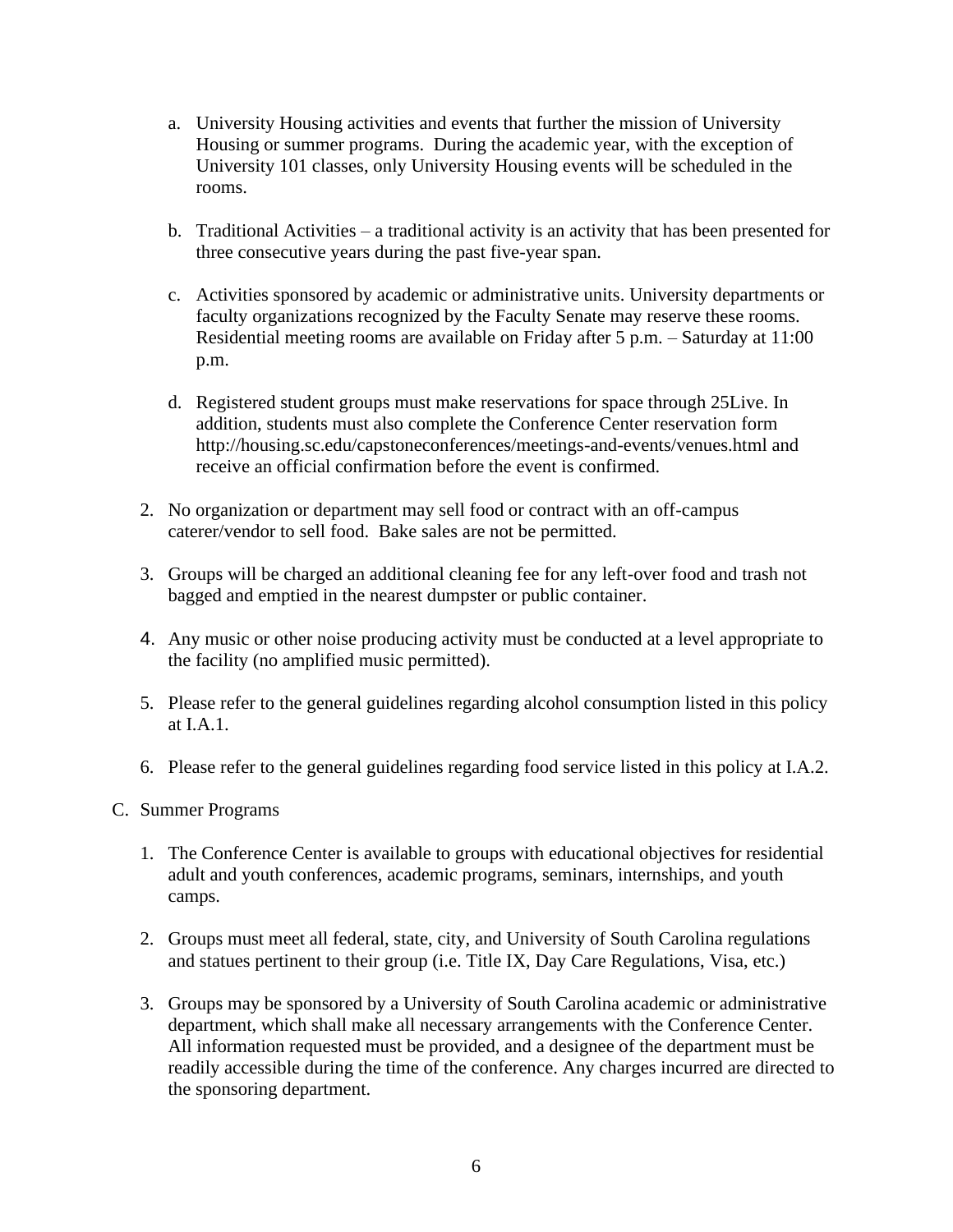- a. University Housing activities and events that further the mission of University Housing or summer programs. During the academic year, with the exception of University 101 classes, only University Housing events will be scheduled in the rooms.
- b. Traditional Activities a traditional activity is an activity that has been presented for three consecutive years during the past five-year span.
- c. Activities sponsored by academic or administrative units. University departments or faculty organizations recognized by the Faculty Senate may reserve these rooms. Residential meeting rooms are available on Friday after 5 p.m. – Saturday at 11:00 p.m.
- d. Registered student groups must make reservations for space through 25Live. In addition, students must also complete the Conference Center reservation form http://housing.sc.edu/capstoneconferences/meetings-and-events/venues.html and receive an official confirmation before the event is confirmed.
- 2. No organization or department may sell food or contract with an off-campus caterer/vendor to sell food. Bake sales are not be permitted.
- 3. Groups will be charged an additional cleaning fee for any left-over food and trash not bagged and emptied in the nearest dumpster or public container.
- 4. Any music or other noise producing activity must be conducted at a level appropriate to the facility (no amplified music permitted).
- 5. Please refer to the general guidelines regarding alcohol consumption listed in this policy at I.A.1.
- 6. Please refer to the general guidelines regarding food service listed in this policy at I.A.2.
- C. Summer Programs
	- 1. The Conference Center is available to groups with educational objectives for residential adult and youth conferences, academic programs, seminars, internships, and youth camps.
	- 2. Groups must meet all federal, state, city, and University of South Carolina regulations and statues pertinent to their group (i.e. Title IX, Day Care Regulations, Visa, etc.)
	- 3. Groups may be sponsored by a University of South Carolina academic or administrative department, which shall make all necessary arrangements with the Conference Center. All information requested must be provided, and a designee of the department must be readily accessible during the time of the conference. Any charges incurred are directed to the sponsoring department.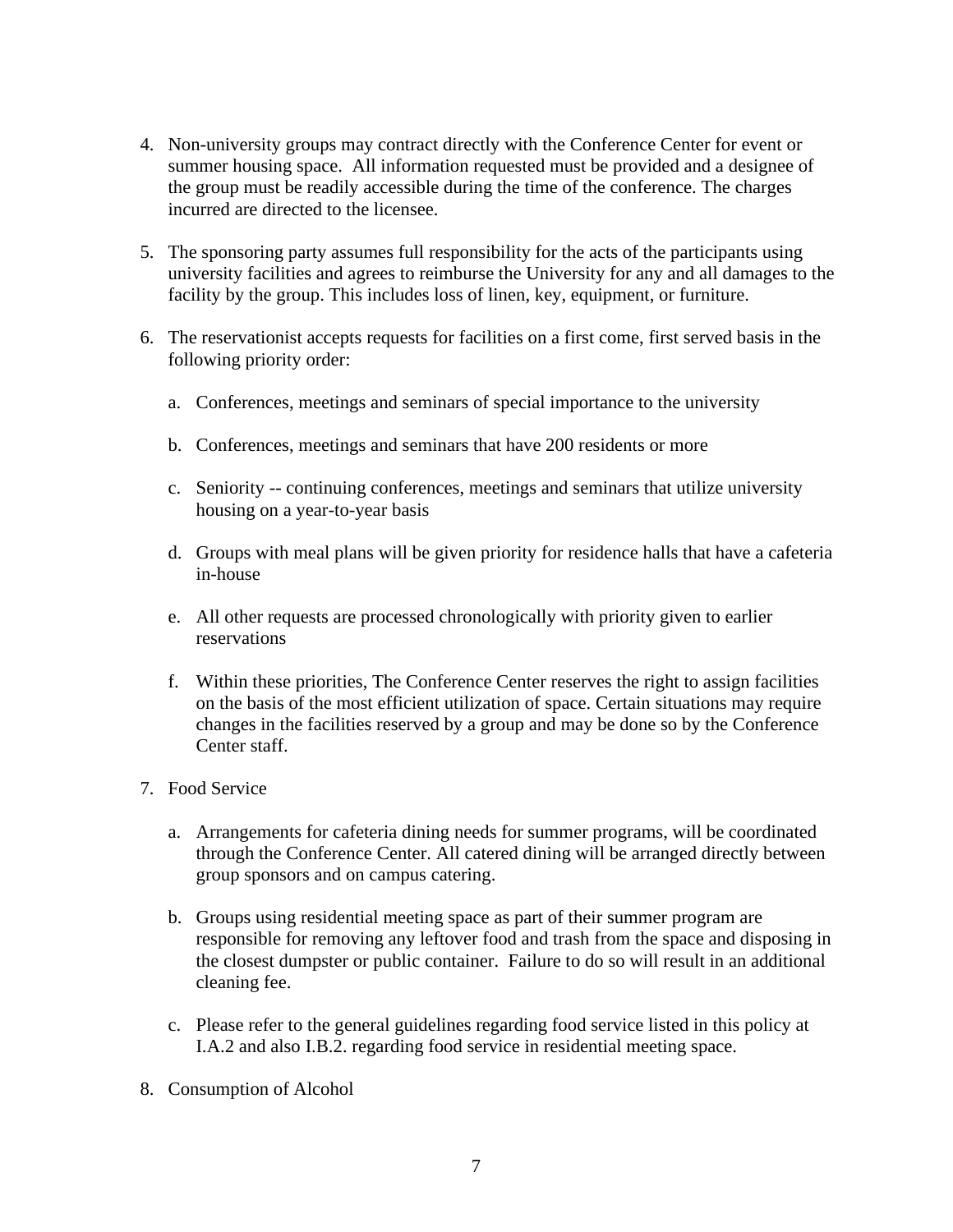- 4. Non-university groups may contract directly with the Conference Center for event or summer housing space. All information requested must be provided and a designee of the group must be readily accessible during the time of the conference. The charges incurred are directed to the licensee.
- 5. The sponsoring party assumes full responsibility for the acts of the participants using university facilities and agrees to reimburse the University for any and all damages to the facility by the group. This includes loss of linen, key, equipment, or furniture.
- 6. The reservationist accepts requests for facilities on a first come, first served basis in the following priority order:
	- a. Conferences, meetings and seminars of special importance to the university
	- b. Conferences, meetings and seminars that have 200 residents or more
	- c. Seniority -- continuing conferences, meetings and seminars that utilize university housing on a year-to-year basis
	- d. Groups with meal plans will be given priority for residence halls that have a cafeteria in-house
	- e. All other requests are processed chronologically with priority given to earlier reservations
	- f. Within these priorities, The Conference Center reserves the right to assign facilities on the basis of the most efficient utilization of space. Certain situations may require changes in the facilities reserved by a group and may be done so by the Conference Center staff.
- 7. Food Service
	- a. Arrangements for cafeteria dining needs for summer programs, will be coordinated through the Conference Center. All catered dining will be arranged directly between group sponsors and on campus catering.
	- b. Groups using residential meeting space as part of their summer program are responsible for removing any leftover food and trash from the space and disposing in the closest dumpster or public container. Failure to do so will result in an additional cleaning fee.
	- c. Please refer to the general guidelines regarding food service listed in this policy at I.A.2 and also I.B.2. regarding food service in residential meeting space.
- 8. Consumption of Alcohol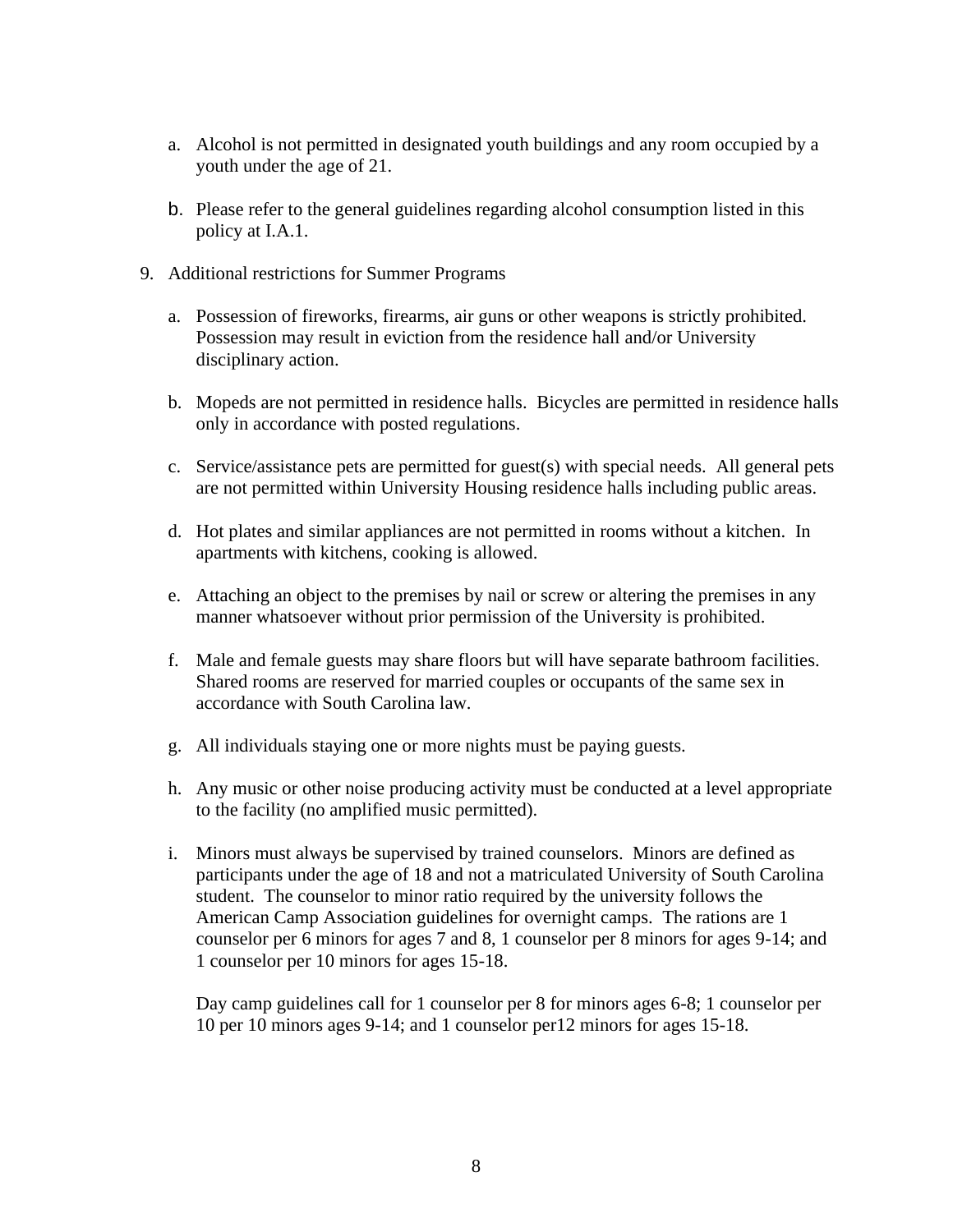- a. Alcohol is not permitted in designated youth buildings and any room occupied by a youth under the age of 21.
- b. Please refer to the general guidelines regarding alcohol consumption listed in this policy at I.A.1.
- 9. Additional restrictions for Summer Programs
	- a. Possession of fireworks, firearms, air guns or other weapons is strictly prohibited. Possession may result in eviction from the residence hall and/or University disciplinary action.
	- b. Mopeds are not permitted in residence halls. Bicycles are permitted in residence halls only in accordance with posted regulations.
	- c. Service/assistance pets are permitted for guest(s) with special needs. All general pets are not permitted within University Housing residence halls including public areas.
	- d. Hot plates and similar appliances are not permitted in rooms without a kitchen. In apartments with kitchens, cooking is allowed.
	- e. Attaching an object to the premises by nail or screw or altering the premises in any manner whatsoever without prior permission of the University is prohibited.
	- f. Male and female guests may share floors but will have separate bathroom facilities. Shared rooms are reserved for married couples or occupants of the same sex in accordance with South Carolina law.
	- g. All individuals staying one or more nights must be paying guests.
	- h. Any music or other noise producing activity must be conducted at a level appropriate to the facility (no amplified music permitted).
	- i. Minors must always be supervised by trained counselors. Minors are defined as participants under the age of 18 and not a matriculated University of South Carolina student. The counselor to minor ratio required by the university follows the American Camp Association guidelines for overnight camps. The rations are 1 counselor per 6 minors for ages 7 and 8, 1 counselor per 8 minors for ages 9-14; and 1 counselor per 10 minors for ages 15-18.

Day camp guidelines call for 1 counselor per 8 for minors ages 6-8; 1 counselor per 10 per 10 minors ages 9-14; and 1 counselor per12 minors for ages 15-18.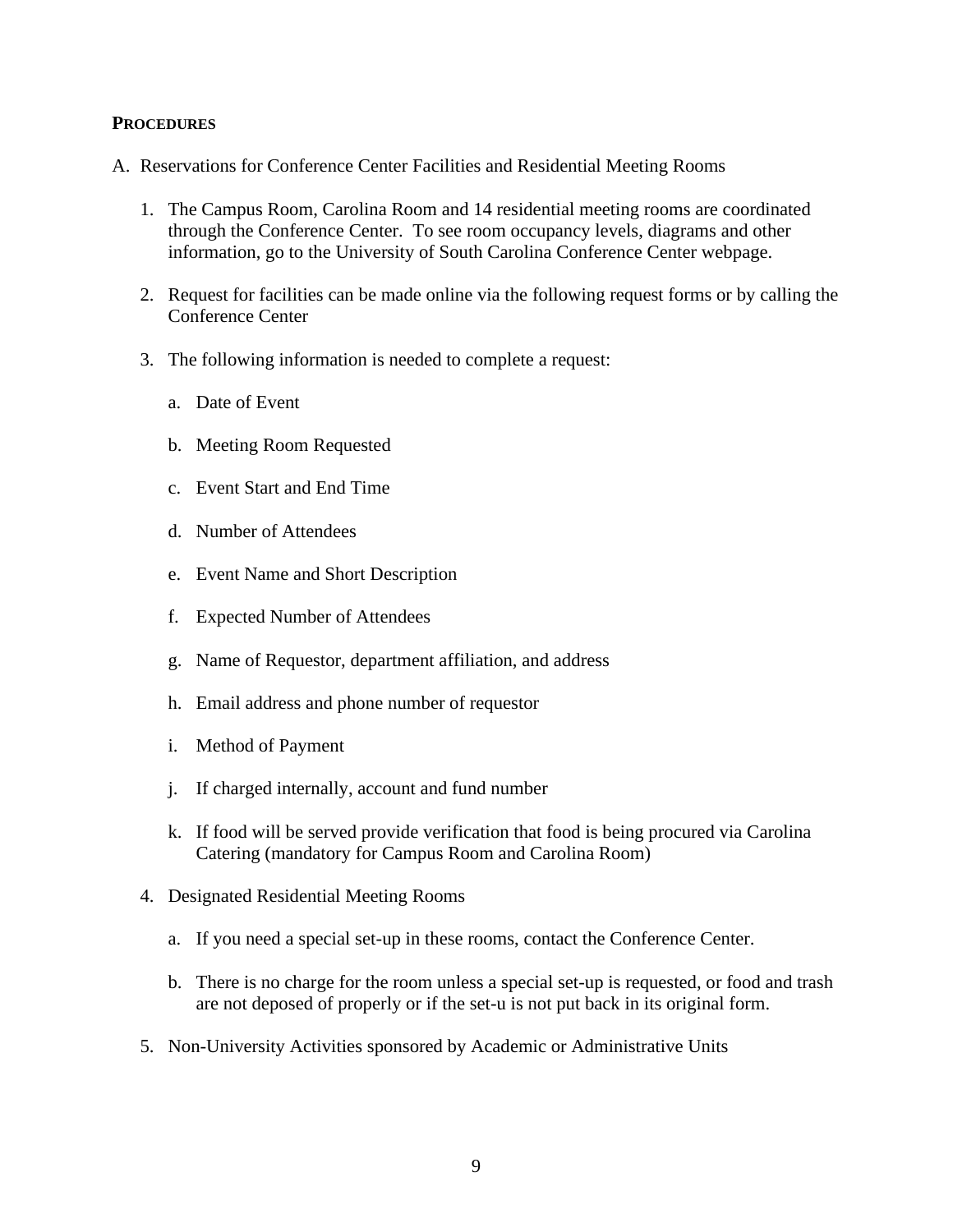#### **PROCEDURES**

- A. Reservations for Conference Center Facilities and Residential Meeting Rooms
	- 1. The Campus Room, Carolina Room and 14 residential meeting rooms are coordinated through the Conference Center. To see room occupancy levels, diagrams and other information, go to the University of South Carolina Conference Center webpage.
	- 2. Request for facilities can be made online via the following request forms or by calling the Conference Center
	- 3. The following information is needed to complete a request:
		- a. Date of Event
		- b. Meeting Room Requested
		- c. Event Start and End Time
		- d. Number of Attendees
		- e. Event Name and Short Description
		- f. Expected Number of Attendees
		- g. Name of Requestor, department affiliation, and address
		- h. Email address and phone number of requestor
		- i. Method of Payment
		- j. If charged internally, account and fund number
		- k. If food will be served provide verification that food is being procured via Carolina Catering (mandatory for Campus Room and Carolina Room)
	- 4. Designated Residential Meeting Rooms
		- a. If you need a special set-up in these rooms, contact the Conference Center.
		- b. There is no charge for the room unless a special set-up is requested, or food and trash are not deposed of properly or if the set-u is not put back in its original form.
	- 5. Non-University Activities sponsored by Academic or Administrative Units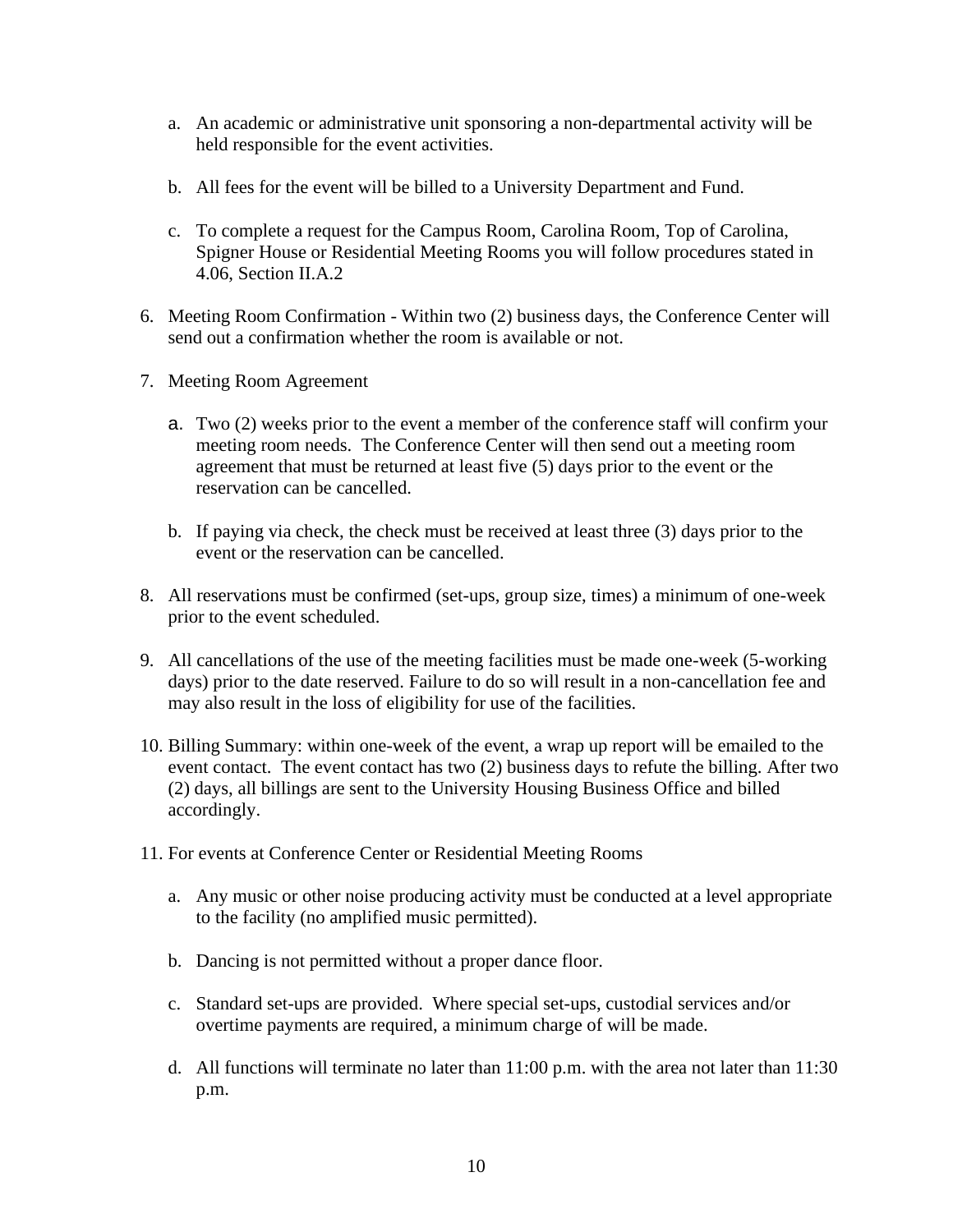- a. An academic or administrative unit sponsoring a non-departmental activity will be held responsible for the event activities.
- b. All fees for the event will be billed to a University Department and Fund.
- c. To complete a request for the Campus Room, Carolina Room, Top of Carolina, Spigner House or Residential Meeting Rooms you will follow procedures stated in 4.06, Section II.A.2
- 6. Meeting Room Confirmation Within two (2) business days, the Conference Center will send out a confirmation whether the room is available or not.
- 7. Meeting Room Agreement
	- a. Two (2) weeks prior to the event a member of the conference staff will confirm your meeting room needs. The Conference Center will then send out a meeting room agreement that must be returned at least five (5) days prior to the event or the reservation can be cancelled.
	- b. If paying via check, the check must be received at least three (3) days prior to the event or the reservation can be cancelled.
- 8. All reservations must be confirmed (set-ups, group size, times) a minimum of one-week prior to the event scheduled.
- 9. All cancellations of the use of the meeting facilities must be made one-week (5-working days) prior to the date reserved. Failure to do so will result in a non-cancellation fee and may also result in the loss of eligibility for use of the facilities.
- 10. Billing Summary: within one-week of the event, a wrap up report will be emailed to the event contact. The event contact has two (2) business days to refute the billing. After two (2) days, all billings are sent to the University Housing Business Office and billed accordingly.
- 11. For events at Conference Center or Residential Meeting Rooms
	- a. Any music or other noise producing activity must be conducted at a level appropriate to the facility (no amplified music permitted).
	- b. Dancing is not permitted without a proper dance floor.
	- c. Standard set-ups are provided. Where special set-ups, custodial services and/or overtime payments are required, a minimum charge of will be made.
	- d. All functions will terminate no later than 11:00 p.m. with the area not later than 11:30 p.m.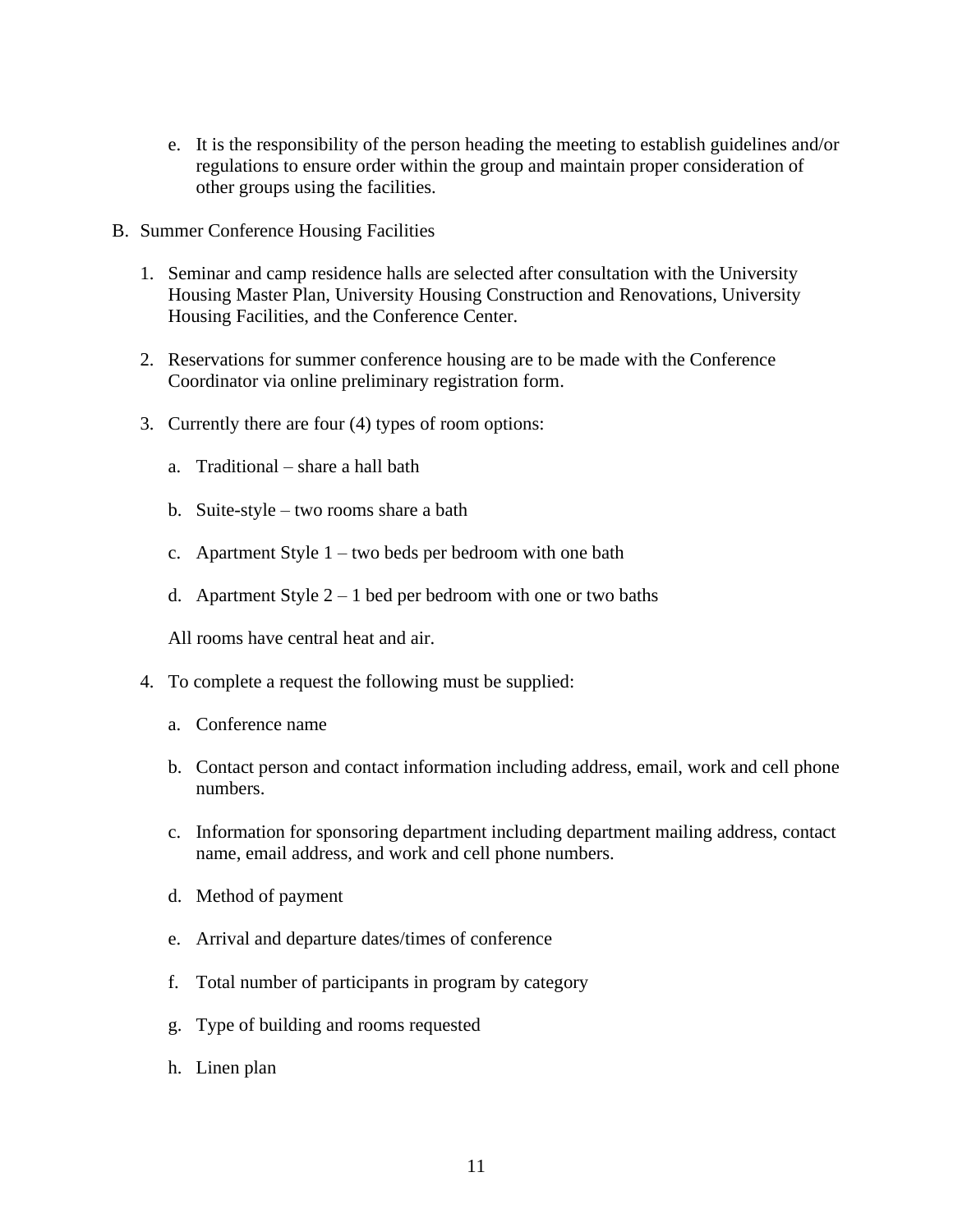- e. It is the responsibility of the person heading the meeting to establish guidelines and/or regulations to ensure order within the group and maintain proper consideration of other groups using the facilities.
- B. Summer Conference Housing Facilities
	- 1. Seminar and camp residence halls are selected after consultation with the University Housing Master Plan, University Housing Construction and Renovations, University Housing Facilities, and the Conference Center.
	- 2. Reservations for summer conference housing are to be made with the Conference Coordinator via online preliminary registration form.
	- 3. Currently there are four (4) types of room options:
		- a. Traditional share a hall bath
		- b. Suite-style two rooms share a bath
		- c. Apartment Style 1 two beds per bedroom with one bath
		- d. Apartment Style  $2 1$  bed per bedroom with one or two baths

All rooms have central heat and air.

- 4. To complete a request the following must be supplied:
	- a. Conference name
	- b. Contact person and contact information including address, email, work and cell phone numbers.
	- c. Information for sponsoring department including department mailing address, contact name, email address, and work and cell phone numbers.
	- d. Method of payment
	- e. Arrival and departure dates/times of conference
	- f. Total number of participants in program by category
	- g. Type of building and rooms requested
	- h. Linen plan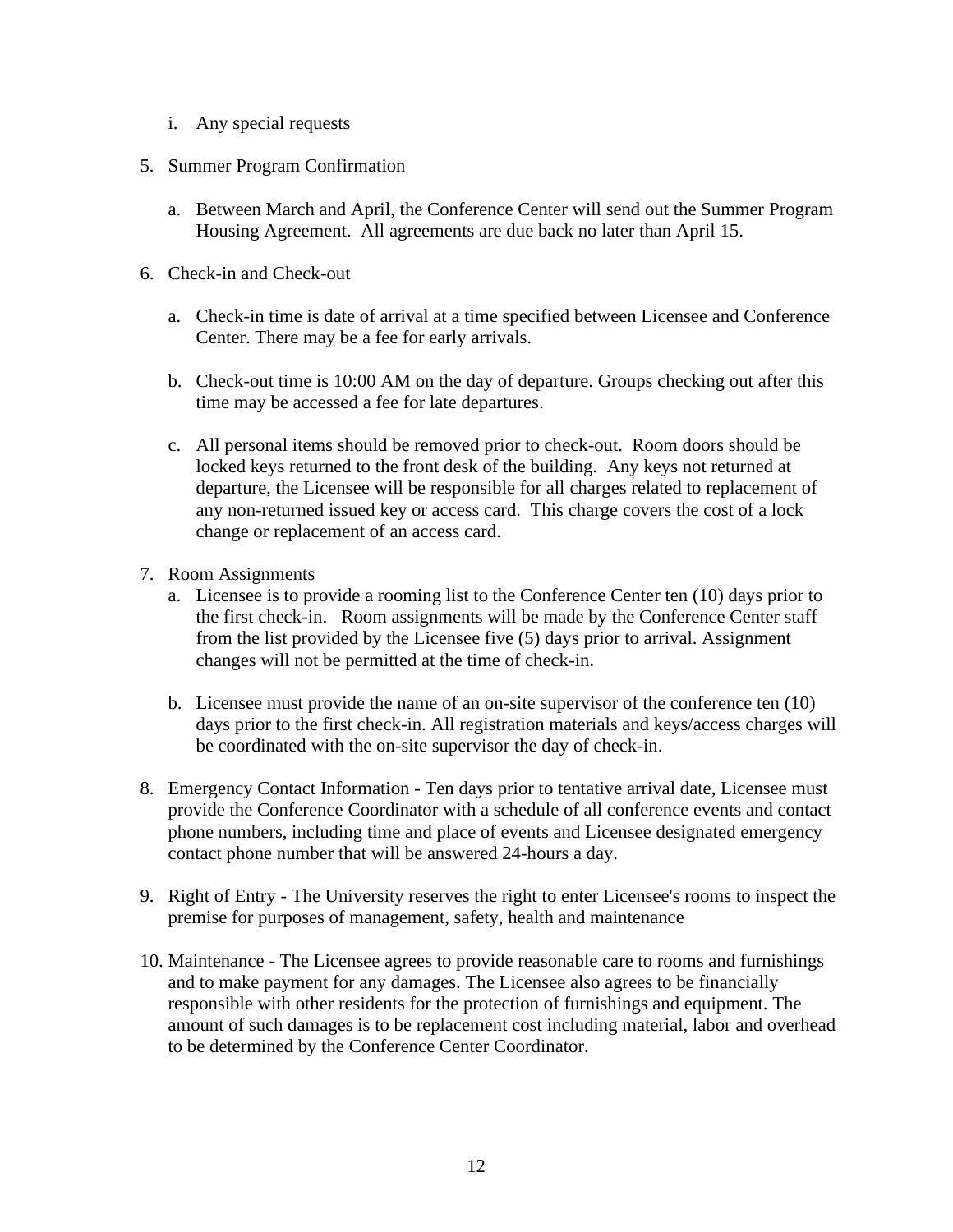- i. Any special requests
- 5. Summer Program Confirmation
	- a. Between March and April, the Conference Center will send out the Summer Program Housing Agreement. All agreements are due back no later than April 15.
- 6. Check-in and Check-out
	- a. Check-in time is date of arrival at a time specified between Licensee and Conference Center. There may be a fee for early arrivals.
	- b. Check-out time is 10:00 AM on the day of departure. Groups checking out after this time may be accessed a fee for late departures.
	- c. All personal items should be removed prior to check-out. Room doors should be locked keys returned to the front desk of the building. Any keys not returned at departure, the Licensee will be responsible for all charges related to replacement of any non-returned issued key or access card. This charge covers the cost of a lock change or replacement of an access card.
- 7. Room Assignments
	- a. Licensee is to provide a rooming list to the Conference Center ten (10) days prior to the first check-in. Room assignments will be made by the Conference Center staff from the list provided by the Licensee five (5) days prior to arrival. Assignment changes will not be permitted at the time of check-in.
	- b. Licensee must provide the name of an on-site supervisor of the conference ten (10) days prior to the first check-in. All registration materials and keys/access charges will be coordinated with the on-site supervisor the day of check-in.
- 8. Emergency Contact Information Ten days prior to tentative arrival date, Licensee must provide the Conference Coordinator with a schedule of all conference events and contact phone numbers, including time and place of events and Licensee designated emergency contact phone number that will be answered 24-hours a day.
- 9. Right of Entry The University reserves the right to enter Licensee's rooms to inspect the premise for purposes of management, safety, health and maintenance
- 10. Maintenance The Licensee agrees to provide reasonable care to rooms and furnishings and to make payment for any damages. The Licensee also agrees to be financially responsible with other residents for the protection of furnishings and equipment. The amount of such damages is to be replacement cost including material, labor and overhead to be determined by the Conference Center Coordinator.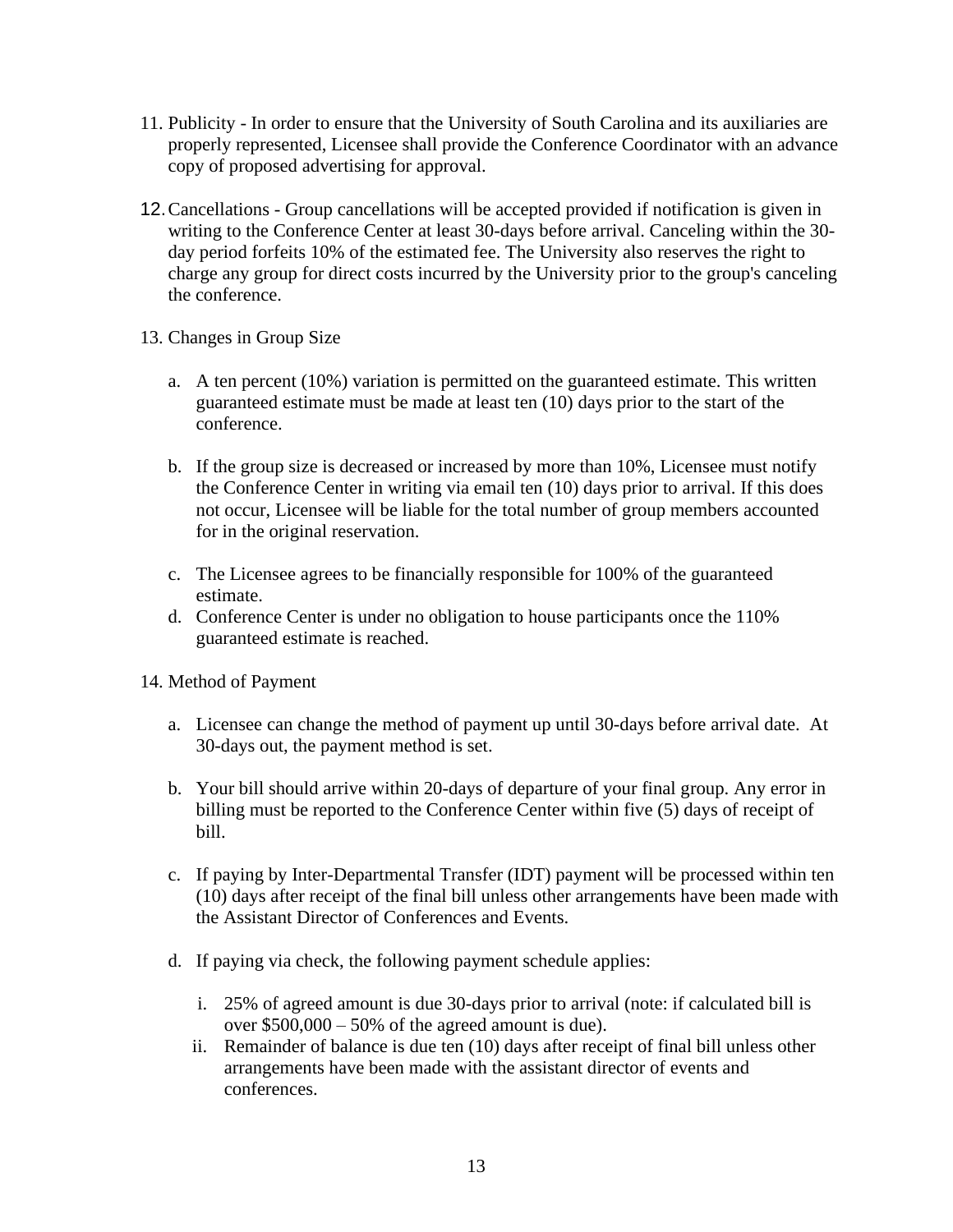- 11. Publicity In order to ensure that the University of South Carolina and its auxiliaries are properly represented, Licensee shall provide the Conference Coordinator with an advance copy of proposed advertising for approval.
- 12.Cancellations Group cancellations will be accepted provided if notification is given in writing to the Conference Center at least 30-days before arrival. Canceling within the 30 day period forfeits 10% of the estimated fee. The University also reserves the right to charge any group for direct costs incurred by the University prior to the group's canceling the conference.
- 13. Changes in Group Size
	- a. A ten percent (10%) variation is permitted on the guaranteed estimate. This written guaranteed estimate must be made at least ten (10) days prior to the start of the conference.
	- b. If the group size is decreased or increased by more than 10%, Licensee must notify the Conference Center in writing via email ten (10) days prior to arrival. If this does not occur, Licensee will be liable for the total number of group members accounted for in the original reservation.
	- c. The Licensee agrees to be financially responsible for 100% of the guaranteed estimate.
	- d. Conference Center is under no obligation to house participants once the 110% guaranteed estimate is reached.
- 14. Method of Payment
	- a. Licensee can change the method of payment up until 30-days before arrival date. At 30-days out, the payment method is set.
	- b. Your bill should arrive within 20-days of departure of your final group. Any error in billing must be reported to the Conference Center within five (5) days of receipt of bill.
	- c. If paying by Inter-Departmental Transfer (IDT) payment will be processed within ten (10) days after receipt of the final bill unless other arrangements have been made with the Assistant Director of Conferences and Events.
	- d. If paying via check, the following payment schedule applies:
		- i. 25% of agreed amount is due 30-days prior to arrival (note: if calculated bill is over  $$500,000 - 50\%$  of the agreed amount is due).
		- ii. Remainder of balance is due ten (10) days after receipt of final bill unless other arrangements have been made with the assistant director of events and conferences.